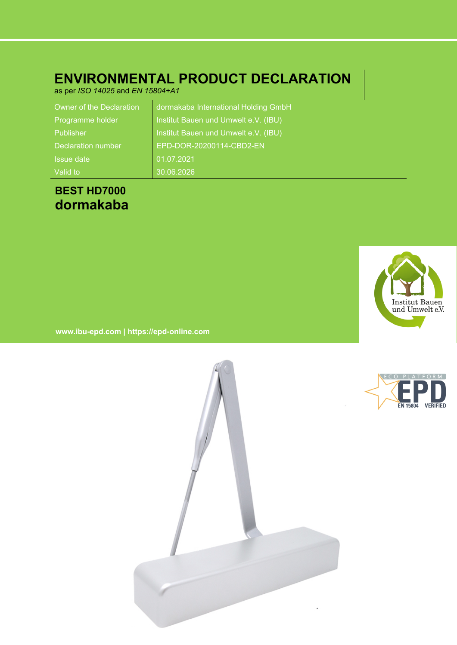### **ENVIRONMENTAL PRODUCT DECLARATION**

as per *ISO 14025* and *EN 15804+A1*

| Owner of the Declaration  | dormakaba International Holding GmbH |
|---------------------------|--------------------------------------|
| Programme holder          | Institut Bauen und Umwelt e.V. (IBU) |
| Publisher                 | Institut Bauen und Umwelt e.V. (IBU) |
| <b>Declaration number</b> | EPD-DOR-20200114-CBD2-EN             |
| Issue date                | 01.07.2021                           |
| Valid to                  | 30.06.2026                           |

### **BEST HD7000 dormakaba**



**www.ibu-epd.com | https://epd-online.com**



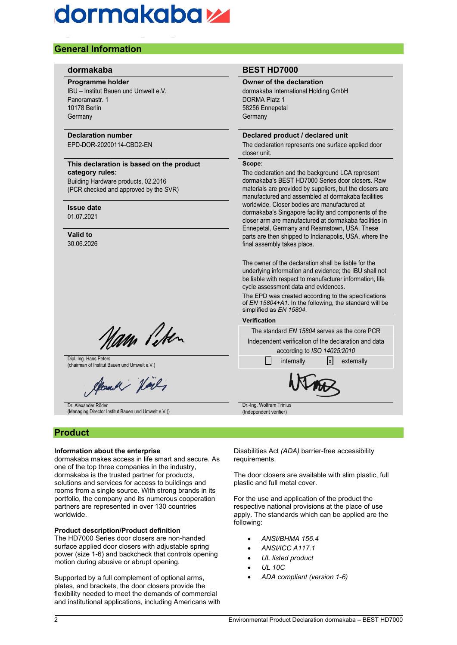### **General Information**

#### **Programme holder**

IBU – Institut Bauen und Umwelt e.V. Panoramastr. 1 10178 Berlin **Germany** 

#### **Declaration number**

EPD-DOR-20200114-CBD2-EN

#### **This declaration is based on the product category rules:**

Building Hardware products, 02.2016 (PCR checked and approved by the SVR)

#### **Issue date**

01.07.2021

#### **Valid to** 30.06.2026

Nam Peter

Dipl. Ing. Hans Peters Dipl. Ing. Hans Peters **internally** chairman of Institut Bauen und Umwelt e.V.) internally internally internally **internally** externally

count Hard

Dr. Alexander Röder (Managing Director Institut Bauen und Umwelt e.V.))

#### **Product**

#### **Information about the enterprise**

dormakaba makes access in life smart and secure. As one of the top three companies in the industry, dormakaba is the trusted partner for products, solutions and services for access to buildings and rooms from a single source. With strong brands in its portfolio, the company and its numerous cooperation partners are represented in over 130 countries worldwide.

#### **Product description/Product definition**

The HD7000 Series door closers are non-handed surface applied door closers with adjustable spring power (size 1-6) and backcheck that controls opening motion during abusive or abrupt opening.

Supported by a full complement of optional arms, plates, and brackets, the door closers provide the flexibility needed to meet the demands of commercial and institutional applications, including Americans with

#### **dormakaba BEST HD7000**

#### **Owner of the declaration**

dormakaba International Holding GmbH DORMA Platz 1 58256 Ennepetal Germany

#### **Declared product / declared unit**

The declaration represents one surface applied door closer unit.

#### **Scope:**

The declaration and the background LCA represent dormakaba's BEST HD7000 Series door closers. Raw materials are provided by suppliers, but the closers are manufactured and assembled at dormakaba facilities worldwide. Closer bodies are manufactured at dormakaba's Singapore facility and components of the closer arm are manufactured at dormakaba facilities in Ennepetal, Germany and Reamstown, USA. These parts are then shipped to Indianapolis, USA, where the final assembly takes place.

The owner of the declaration shall be liable for the underlying information and evidence; the IBU shall not be liable with respect to manufacturer information, life cycle assessment data and evidences.

The EPD was created according to the specifications of *EN 15804+A1*. In the following, the standard will be simplified as *EN 15804*.

#### **Verification**

The standard *EN 15804* serves as the core PCR

Independent verification of the declaration and data according to *ISO 14025:2010*



Dr.-Ing. Wolfram Trinius (Independent verifier)

Disabilities Act *(ADA)* barrier-free accessibility requirements.

The door closers are available with slim plastic, full plastic and full metal cover.

For the use and application of the product the respective national provisions at the place of use apply. The standards which can be applied are the following:

- *ANSI/BHMA 156.4*
- *ANSI/ICC A117.1*
- *UL listed product*
- *UL 10C*
- *ADA compliant (version 1-6)*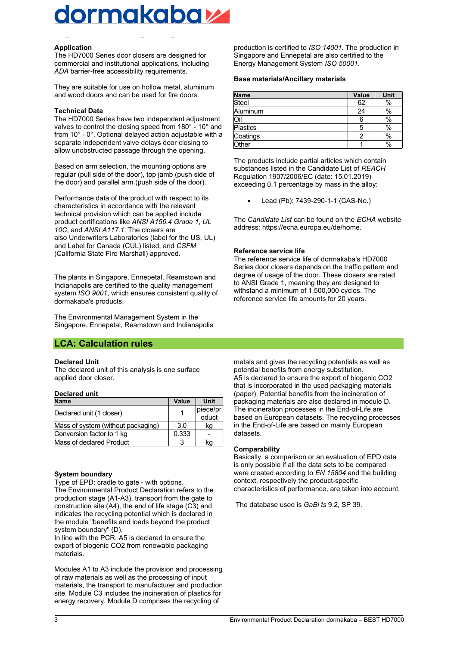## dormakaba

#### **Application**

The HD7000 Series door closers are designed for commercial and institutional applications, including *ADA* barrier-free accessibility requirements.

They are suitable for use on hollow metal, aluminum and wood doors and can be used for fire doors.

#### **Technical Data**

The HD7000 Series have two independent adjustment valves to control the closing speed from 180° - 10° and from 10° - 0°. Optional delayed action adjustable with a separate independent valve delays door closing to allow unobstructed passage through the opening.

Based on arm selection, the mounting options are regular (pull side of the door), top jamb (push side of the door) and parallel arm (push side of the door).

Performance data of the product with respect to its characteristics in accordance with the relevant technical provision which can be applied include product certifications like *ANSI A156.4 Grade 1*, *UL 10C*, and *ANSI A117.1*. The closers are also Underwriters Laboratories (label for the US, UL) and Label for Canada (CUL) listed, and *CSFM* (California State Fire Marshall) approved.

The plants in Singapore, Ennepetal, Reamstown and Indianapolis are certified to the quality management system *ISO 9001*, which ensures consistent quality of dormakaba's products.

The Environmental Management System in the Singapore, Ennepetal, Reamstown and Indianapolis

#### **LCA: Calculation rules**

#### **Declared Unit**

The declared unit of this analysis is one surface applied door closer.

#### **Declared unit**

| <b>Name</b>                        | Value | Unit     |
|------------------------------------|-------|----------|
| Declared unit (1 closer)           |       | piece/pr |
|                                    |       | oduct    |
| Mass of system (without packaging) | 3.0   | kg       |
| Conversion factor to 1 kg          | 0.333 |          |
| Mass of declared Product           | 3     | kq       |

#### **System boundary**

Type of EPD: cradle to gate - with options. The Environmental Product Declaration refers to the production stage (A1-A3), transport from the gate to construction site (A4), the end of life stage (C3) and indicates the recycling potential which is declared in the module "benefits and loads beyond the product system boundary" (D).

In line with the PCR, A5 is declared to ensure the export of biogenic CO2 from renewable packaging materials.

Modules A1 to A3 include the provision and processing of raw materials as well as the processing of input materials, the transport to manufacturer and production site. Module C3 includes the incineration of plastics for energy recovery. Module D comprises the recycling of

production is certified to *ISO 14001.* The production in Singapore and Ennepetal are also certified to the Energy Management System *ISO 50001*.

#### **Base materials/Ancillary materials**

| <b>Name</b> | Value | Unit |
|-------------|-------|------|
| Steel       | 62    | $\%$ |
| Aluminum    | 24    | $\%$ |
| Oil         | 6     | %    |
| Plastics    | 5     | %    |
| Coatings    | 2     | %    |
| Other       |       | $\%$ |

The products include partial articles which contain substances listed in the Candidate List of *REACH* Regulation 1907/2006/EC (date: 15.01.2019) exceeding 0.1 percentage by mass in the alloy:

Lead (Pb): 7439-290-1-1 (CAS-No.)

The *Candidate List* can be found on the *ECHA* website address: https://echa.europa.eu/de/home.

#### **Reference service life**

The reference service life of dormakaba's HD7000 Series door closers depends on the traffic pattern and degree of usage of the door. These closers are rated to ANSI Grade 1, meaning they are designed to withstand a minimum of 1,500,000 cycles. The reference service life amounts for 20 years.

metals and gives the recycling potentials as well as potential benefits from energy substitution. A5 is declared to ensure the export of biogenic CO2 that is incorporated in the used packaging materials (paper). Potential benefits from the incineration of packaging materials are also declared in module D. The incineration processes in the End-of-Life are based on European datasets. The recycling processes in the End-of-Life are based on mainly European datasets.

#### **Comparability**

Basically, a comparison or an evaluation of EPD data is only possible if all the data sets to be compared were created according to *EN 15804* and the building context, respectively the product-specific characteristics of performance, are taken into account.

The database used is *GaBi ts* 9.2, SP 39.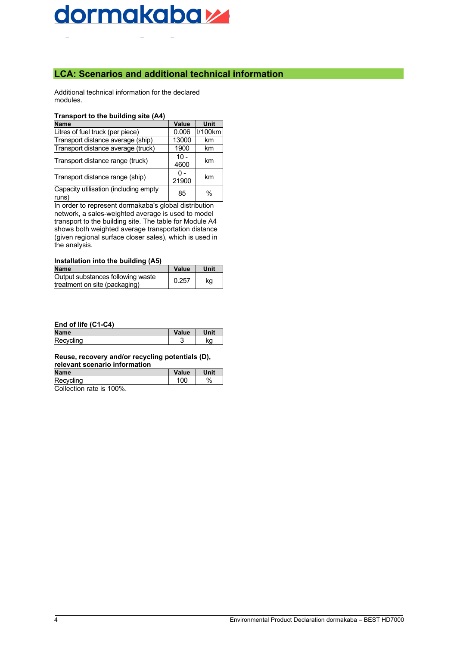#### **LCA: Scenarios and additional technical information**

Additional technical information for the declared modules.

#### **Transport to the building site (A4)**

| <b>Name</b>                                    | Value          | <b>Unit</b>   |
|------------------------------------------------|----------------|---------------|
| Litres of fuel truck (per piece)               | 0.006          | I/100km       |
| Transport distance average (ship)              | 13000          | km            |
| Transport distance average (truck)             | 1900           | km            |
| Transport distance range (truck)               | $10 -$<br>4600 | km            |
| Transport distance range (ship)                | ი -<br>21900   | km            |
| Capacity utilisation (including empty<br>runs) | 85             | $\frac{0}{0}$ |

In order to represent dormakaba's global distribution network, a sales-weighted average is used to model transport to the building site. The table for Module A4 shows both weighted average transportation distance (given regional surface closer sales), which is used in the analysis.

#### **Installation into the building (A5)**

| <b>Name</b>                       | Value | Unit |
|-----------------------------------|-------|------|
| Output substances following waste | 0.257 |      |
| treatment on site (packaging)     |       | kq   |

#### **End of life (C1-C4)**

| <b>Name</b> | alue   | Init |
|-------------|--------|------|
| R<br>سمحا   | ╭<br>ີ | ka   |

#### **Reuse, recovery and/or recycling potentials (D), relevant scenario information**

| <b>Name</b>             | Value | <b>Unit</b> |
|-------------------------|-------|-------------|
| Recycling               | 100   | %           |
| Collogian rate in 1000/ |       |             |

Collection rate is 100%.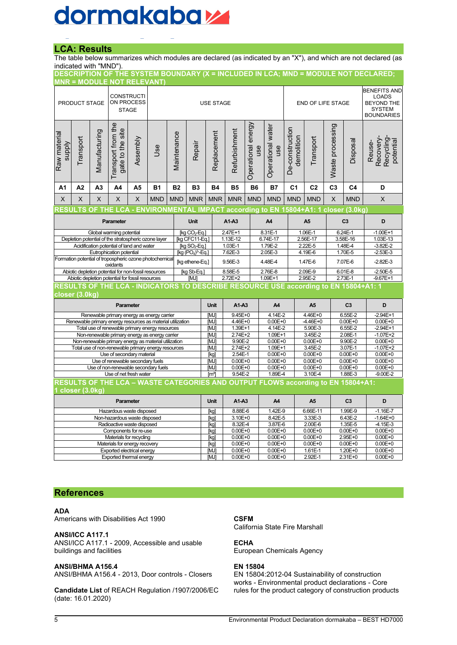#### **LCA: Results**

The table below summarizes which modules are declared (as indicated by an "X"), and which are not declared (as indicated with "MND").

|                                                                                                                                          |                                                                                                    |                | <b>MNR = MODULE NOT RELEVANT)</b>                    |                 |                                                                                                               |                     |                           |                                                  |                                                |                              |                                                          |                               |                          |                            |                                                                                                | DESCRIPTION OF THE SYSTEM BOUNDARY (X = INCLUDED IN LCA; MND = MODULE NOT DECLARED; |
|------------------------------------------------------------------------------------------------------------------------------------------|----------------------------------------------------------------------------------------------------|----------------|------------------------------------------------------|-----------------|---------------------------------------------------------------------------------------------------------------|---------------------|---------------------------|--------------------------------------------------|------------------------------------------------|------------------------------|----------------------------------------------------------|-------------------------------|--------------------------|----------------------------|------------------------------------------------------------------------------------------------|-------------------------------------------------------------------------------------|
|                                                                                                                                          | <b>CONSTRUCTI</b><br>ON PROCESS<br>PRODUCT STAGE<br><b>STAGE</b>                                   |                |                                                      |                 |                                                                                                               |                     | <b>USE STAGE</b>          |                                                  |                                                |                              | END OF LIFE STAGE                                        |                               |                          |                            | <b>BENEFITS AND</b><br><b>LOADS</b><br><b>BEYOND THE</b><br><b>SYSTEM</b><br><b>BOUNDARIES</b> |                                                                                     |
| Raw material<br><b>Alddns</b>                                                                                                            | Transport                                                                                          | Manufacturing  | Transport from the<br>gate to the site               | Assembly        | Use                                                                                                           | Maintenance         | Repair                    | Replacement                                      | Refurbishment                                  | energy<br>Operational<br>use | Operational water<br>use                                 | De-construction<br>demolition | Transport                | Waste processing           | Disposal                                                                                       | Recovery-<br>Recycling-<br>potential<br>Reuse-                                      |
| A1                                                                                                                                       | A2                                                                                                 | A <sub>3</sub> | A4                                                   | A5              | <b>B1</b>                                                                                                     | <b>B2</b>           | <b>B3</b>                 | <b>B4</b>                                        | <b>B5</b>                                      | <b>B6</b>                    | <b>B7</b>                                                | C <sub>1</sub>                | C <sub>2</sub>           | C <sub>3</sub>             | C <sub>4</sub>                                                                                 | D                                                                                   |
| Χ                                                                                                                                        | X                                                                                                  | X              | X                                                    | Χ               | <b>MND</b>                                                                                                    | <b>MND</b>          | <b>MNR</b>                | <b>MNR</b>                                       | <b>MNR</b>                                     | <b>MND</b>                   | <b>MND</b>                                               | <b>MND</b>                    | <b>MND</b>               | X                          | <b>MND</b>                                                                                     | X                                                                                   |
|                                                                                                                                          |                                                                                                    |                |                                                      |                 | RESULTS OF THE LCA - ENVIRONMENTAL IMPACT according to EN 15804+A1: 1 closer (3.0kg)                          |                     |                           |                                                  |                                                |                              |                                                          |                               |                          |                            |                                                                                                |                                                                                     |
|                                                                                                                                          |                                                                                                    |                | Parameter                                            |                 |                                                                                                               |                     | <b>Unit</b>               |                                                  | A1-A3                                          |                              | A4                                                       |                               | A <sub>5</sub>           |                            | C <sub>3</sub>                                                                                 | D                                                                                   |
|                                                                                                                                          |                                                                                                    |                | Global warming potential                             |                 | Depletion potential of the stratospheric ozone layer                                                          |                     | [kg CFC11-Eq.]            | 2.47E+1<br>[kg CO <sub>2</sub> -Eq.]<br>1.13E-12 |                                                |                              | 8.31E-1<br>6.74E-17                                      |                               | 1.06E-1<br>2.56E-17      |                            | 6.24E-1<br>3.58E-16                                                                            | $-1.00E + 1$<br>1.03E-13                                                            |
|                                                                                                                                          |                                                                                                    |                | Acidification potential of land and water            |                 |                                                                                                               |                     | [kg SO <sub>2</sub> -Eq.] |                                                  | $1.03E-1$                                      |                              | 1.79E-2                                                  |                               | 2.22E-5                  |                            | 1.48E-4                                                                                        | $-3.82E - 2$                                                                        |
|                                                                                                                                          |                                                                                                    |                | Eutrophication potential                             |                 |                                                                                                               |                     | $[kg (PO4)3-Eq.]$         |                                                  | 7.62E-3                                        | 2.05E-3                      |                                                          |                               | 4.19E-6                  |                            | 1.70E-5                                                                                        | $-2.53E-3$                                                                          |
| Formation potential of tropospheric ozone photochemical<br>oxidants                                                                      |                                                                                                    |                |                                                      | [kg ethene-Eq.] |                                                                                                               | 9.56E-3             | 4.48E-4                   |                                                  |                                                | 1.47E-6                      |                                                          | 7.07E-6                       | $-2.82E-3$               |                            |                                                                                                |                                                                                     |
|                                                                                                                                          |                                                                                                    |                | Abiotic depletion potential for non-fossil resources |                 |                                                                                                               |                     | [kg Sb-Eq.]               |                                                  | 8.58E-5                                        |                              | $2.76E-8$                                                |                               | 2.09E-9<br>2.95E-2       |                            | $6.01E - 8$                                                                                    | $-2.50E - 5$                                                                        |
| Abiotic depletion potential for fossil resources<br>RESULTS OF THE LCA - INDICATORS TO DESCRIBE RESOURCE USE according to EN 15804+A1: 1 |                                                                                                    |                |                                                      | [MJ]            |                                                                                                               | $2.72E + 2$         |                           | $1.09E + 1$                                      |                                                |                              |                                                          | $2.73E-1$                     | $-9.67E+1$               |                            |                                                                                                |                                                                                     |
|                                                                                                                                          | closer (3.0kg)                                                                                     |                |                                                      |                 |                                                                                                               |                     |                           |                                                  |                                                |                              |                                                          |                               |                          |                            |                                                                                                |                                                                                     |
|                                                                                                                                          |                                                                                                    |                | Parameter                                            |                 |                                                                                                               |                     |                           | Unit                                             | A1-A3                                          |                              | A4                                                       |                               | A <sub>5</sub>           |                            | C <sub>3</sub>                                                                                 | D                                                                                   |
|                                                                                                                                          |                                                                                                    |                |                                                      |                 | Renewable primary energy as energy carrier                                                                    |                     |                           | [MJ]                                             |                                                | $9.45E + 0$                  |                                                          | $4.14E - 2$<br>4.46E+0        |                          |                            | $6.55E-2$                                                                                      | $-2.94E+1$                                                                          |
|                                                                                                                                          |                                                                                                    |                |                                                      |                 | Renewable primary energy resources as material utilization<br>Total use of renewable primary energy resources |                     |                           | [MJ]<br>[MJ]                                     | $4.46E+0$<br>$0.00E + 0$<br>1.39E+1<br>4.14E-2 |                              |                                                          | $-4.46E+0$<br>5.90E-3         |                          | $0.00E + 0$<br>6.55E-2     | $0.00E + 0$<br>$-2.94E+1$                                                                      |                                                                                     |
|                                                                                                                                          |                                                                                                    |                |                                                      |                 | Non-renewable primary energy as energy carrier                                                                |                     |                           | [MJ]                                             | 2.74E+2                                        |                              | $1.09E + 1$                                              |                               | 3.45E-2                  |                            | 2.08E-1                                                                                        | $-1.07E + 2$                                                                        |
|                                                                                                                                          |                                                                                                    |                |                                                      |                 | Non-renewable primary energy as material utilization                                                          |                     |                           | [MJ]                                             | 9.90E-2                                        |                              | $0.00E + 0$                                              |                               | $0.00E + 0$              |                            | 9.90E-2                                                                                        | $0.00E + 0$                                                                         |
|                                                                                                                                          |                                                                                                    |                |                                                      |                 | Total use of non-renewable primary energy resources                                                           |                     |                           | [MJ]                                             | 2.74E+2                                        |                              | 1.09E+1                                                  |                               | $3.45E-2$                |                            | 3.07E-1                                                                                        | $-1.07E + 2$                                                                        |
|                                                                                                                                          |                                                                                                    |                | Use of secondary material                            |                 |                                                                                                               |                     |                           | [kg]<br>[MJ]                                     | 2.54E-1<br>$0.00E + 0$                         |                              | $0.00E + 0$<br>$0.00E + 0$<br>$0.00E + 0$<br>$0.00E + 0$ |                               |                          | $0.00E + 0$<br>$0.00E + 0$ | $0.00E + 0$<br>$0.00E + 0$                                                                     |                                                                                     |
|                                                                                                                                          | Use of renewable secondary fuels<br>Use of non-renewable secondary fuels                           |                |                                                      |                 |                                                                                                               | $0.00E + 0$<br>[MJ] |                           | $0.00E + 0$<br>$0.00E + 0$                       |                                                |                              | $0.00E + 0$                                              | $0.00E + 0$                   |                          |                            |                                                                                                |                                                                                     |
|                                                                                                                                          |                                                                                                    |                | Use of net fresh water                               |                 |                                                                                                               |                     |                           | [mª]                                             | 9.54E-2<br>1.89E-4                             |                              | 1.88E-3<br>3.10E-4                                       |                               | $-9.00E - 2$             |                            |                                                                                                |                                                                                     |
|                                                                                                                                          | RESULTS OF THE LCA - WASTE CATEGORIES AND OUTPUT FLOWS according to EN 15804+A1:<br>closer (3.0kg) |                |                                                      |                 |                                                                                                               |                     |                           |                                                  |                                                |                              |                                                          |                               |                          |                            |                                                                                                |                                                                                     |
|                                                                                                                                          |                                                                                                    |                | Parameter                                            |                 |                                                                                                               |                     |                           | <b>Unit</b>                                      | A1-A3                                          |                              | A4                                                       |                               | A <sub>5</sub>           |                            | C <sub>3</sub>                                                                                 | D                                                                                   |
| Hazardous waste disposed                                                                                                                 |                                                                                                    |                |                                                      |                 | [kg]                                                                                                          | 8.88E-6             |                           | 1.42E-9                                          |                                                | 6.66E-11                     |                                                          | 1.99E-9                       | $-1.16E - 7$             |                            |                                                                                                |                                                                                     |
| Non-hazardous waste disposed<br>Radioactive waste disposed                                                                               |                                                                                                    |                |                                                      |                 | [kg]                                                                                                          | 3.10E+0             |                           | 8.42E-5                                          |                                                | 3.33E-3                      |                                                          | 6.43E-2                       | $-1.64E + 0$             |                            |                                                                                                |                                                                                     |
|                                                                                                                                          |                                                                                                    |                | Components for re-use                                |                 |                                                                                                               |                     |                           | [kg]                                             | 8.32E-4<br>$0.00E + 0$                         |                              | 3.87E-6<br>$0.00E + 0$                                   |                               | $2.00E-6$<br>$0.00E + 0$ |                            | $1.35E-5$<br>$0.00E + 0$                                                                       | $-4.15E-3$<br>$0.00E + 0$                                                           |
|                                                                                                                                          |                                                                                                    |                | Materials for recycling                              |                 |                                                                                                               |                     |                           | [kg]<br>[kg]                                     | $0.00E + 0$                                    |                              | $0.00E + 0$                                              |                               | $0.00E + 0$              |                            | $2.95E + 0$                                                                                    | $0.00E + 0$                                                                         |
|                                                                                                                                          |                                                                                                    |                | Materials for energy recovery                        |                 |                                                                                                               |                     |                           | [kq]                                             | $0.00E + 0$                                    |                              | $0.00E + 0$                                              |                               | $0.00E + 0$              |                            | $0.00E + 0$                                                                                    | $0.00E + 0$                                                                         |
|                                                                                                                                          |                                                                                                    |                | Exported electrical energy                           |                 |                                                                                                               |                     |                           | [MJ]                                             | $0.00E + 0$                                    |                              | $0.00E + 0$                                              |                               | 1.61E-1                  |                            | 1.20E+0                                                                                        | $0.00E + 0$                                                                         |
| Exported thermal energy                                                                                                                  |                                                                                                    |                |                                                      |                 |                                                                                                               | [MJ]                | $0.00E + 0$               |                                                  | $0.00E + 0$                                    |                              | 2.92E-1                                                  |                               | 2.31E+0                  | $0.00E + 0$                |                                                                                                |                                                                                     |

#### **References**

#### **ADA**

Americans with Disabilities Act 1990

#### **ANSI/ICC A117.1**

ANSI/ICC A117.1 - 2009, Accessible and usable buildings and facilities

#### **ANSI/BHMA A156.4**

ANSI/BHMA A156.4 - 2013, Door controls - Closers

**Candidate List** of REACH Regulation /1907/2006/EC (date: 16.01.2020)

#### **CSFM**

California State Fire Marshall

#### **ECHA**

European Chemicals Agency

#### **EN 15804**

EN 15804:2012-04 Sustainability of construction works - Environmental product declarations - Core rules for the product category of construction products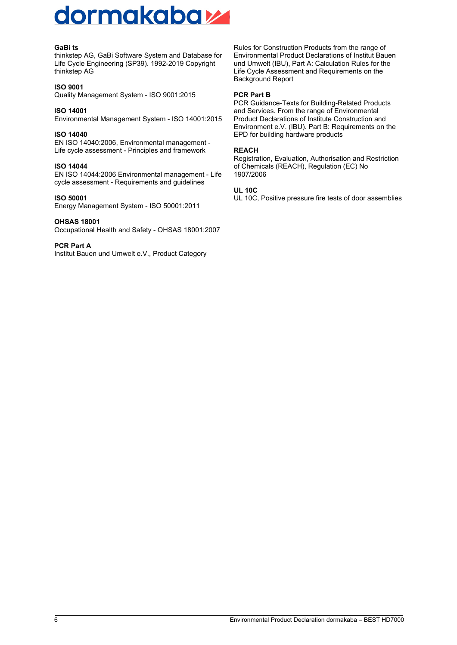#### **GaBi ts**

thinkstep AG, GaBi Software System and Database for Life Cycle Engineering (SP39). 1992-2019 Copyright thinkstep AG

#### **ISO 9001**

Quality Management System - ISO 9001:2015

#### **ISO 14001**

Environmental Management System - ISO 14001:2015

#### **ISO 14040**

EN ISO 14040:2006, Environmental management - Life cycle assessment - Principles and framework

#### **ISO 14044**

EN ISO 14044:2006 Environmental management - Life cycle assessment - Requirements and guidelines

#### **ISO 50001**

Energy Management System - ISO 50001:2011

#### **OHSAS 18001**

Occupational Health and Safety - OHSAS 18001:2007

#### **PCR Part A**

Institut Bauen und Umwelt e.V., Product Category

Rules for Construction Products from the range of Environmental Product Declarations of Institut Bauen und Umwelt (IBU), Part A: Calculation Rules for the Life Cycle Assessment and Requirements on the Background Report

#### **PCR Part B**

PCR Guidance-Texts for Building-Related Products and Services. From the range of Environmental Product Declarations of Institute Construction and Environment e.V. (IBU). Part B: Requirements on the EPD for building hardware products

#### **REACH**

Registration, Evaluation, Authorisation and Restriction of Chemicals (REACH), Regulation (EC) No 1907/2006

#### **UL 10C**

UL 10C, Positive pressure fire tests of door assemblies